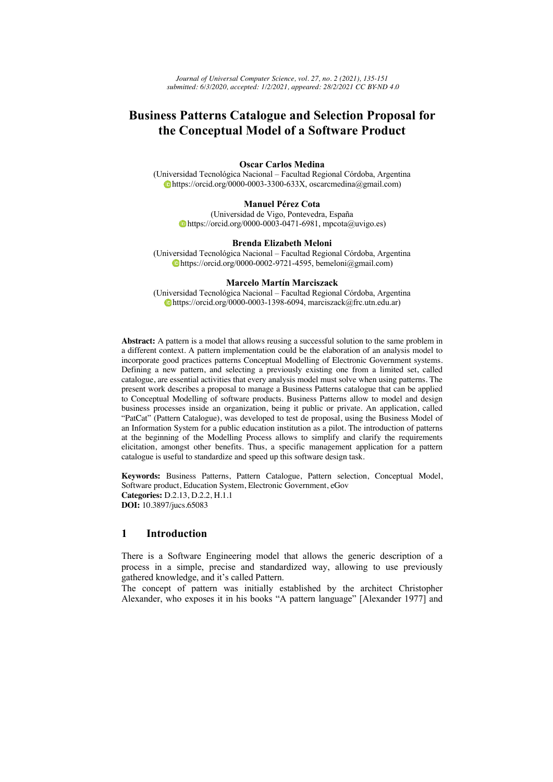*Journal of Universal Computer Science, vol. 27, no. 2 (2021), 135-151 submitted: 6/3/2020, accepted: 1/2/2021, appeared: 28/2/2021 CC BY-ND 4.0*

# **Business Patterns Catalogue and Selection Proposal for the Conceptual Model of a Software Product**

#### **Oscar Carlos Medina**

(Universidad Tecnológica Nacional – Facultad Regional Córdoba, Argentina https://orcid.org/0000-0003-3300-633X, oscarcmedina@gmail.com)

#### **Manuel Pérez Cota**

(Universidad de Vigo, Pontevedra, España https://orcid.org/0000-0003-0471-6981, mpcota@uvigo.es)

#### **Brenda Elizabeth Meloni**

(Universidad Tecnológica Nacional – Facultad Regional Córdoba, Argentina  $\bullet$ https://orcid.org/0000-0002-9721-4595, bemeloni@gmail.com)

#### **Marcelo Martín Marciszack**

(Universidad Tecnológica Nacional – Facultad Regional Córdoba, Argentina https://orcid.org/0000-0003-1398-6094, marciszack@frc.utn.edu.ar)

**Abstract:** A pattern is a model that allows reusing a successful solution to the same problem in a different context. A pattern implementation could be the elaboration of an analysis model to incorporate good practices patterns Conceptual Modelling of Electronic Government systems. Defining a new pattern, and selecting a previously existing one from a limited set, called catalogue, are essential activities that every analysis model must solve when using patterns. The present work describes a proposal to manage a Business Patterns catalogue that can be applied to Conceptual Modelling of software products. Business Patterns allow to model and design business processes inside an organization, being it public or private. An application, called "PatCat" (Pattern Catalogue), was developed to test de proposal, using the Business Model of an Information System for a public education institution as a pilot. The introduction of patterns at the beginning of the Modelling Process allows to simplify and clarify the requirements elicitation, amongst other benefits. Thus, a specific management application for a pattern catalogue is useful to standardize and speed up this software design task.

**Keywords:** Business Patterns, Pattern Catalogue, Pattern selection, Conceptual Model, Software product, Education System, Electronic Government, eGov **Categories:** D.2.13, D.2.2, H.1.1 **DOI:** 10.3897/jucs.65083

## **1 Introduction**

There is a Software Engineering model that allows the generic description of a process in a simple, precise and standardized way, allowing to use previously gathered knowledge, and it's called Pattern.

The concept of pattern was initially established by the architect Christopher Alexander, who exposes it in his books "A pattern language" [Alexander 1977] and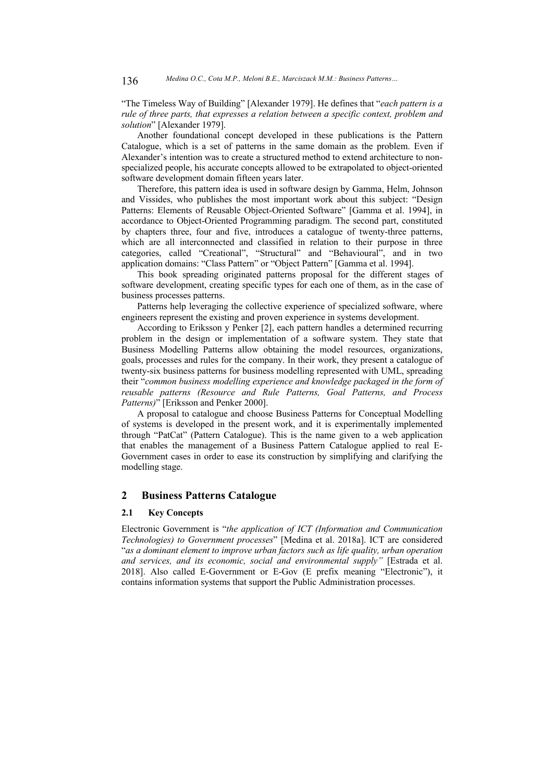"The Timeless Way of Building" [Alexander 1979]. He defines that "*each pattern is a rule of three parts, that expresses a relation between a specific context, problem and solution*" [Alexander 1979].

Another foundational concept developed in these publications is the Pattern Catalogue, which is a set of patterns in the same domain as the problem. Even if Alexander's intention was to create a structured method to extend architecture to nonspecialized people, his accurate concepts allowed to be extrapolated to object-oriented software development domain fifteen years later.

Therefore, this pattern idea is used in software design by Gamma, Helm, Johnson and Vissides, who publishes the most important work about this subject: "Design Patterns: Elements of Reusable Object-Oriented Software" [Gamma et al. 1994], in accordance to Object-Oriented Programming paradigm. The second part, constituted by chapters three, four and five, introduces a catalogue of twenty-three patterns, which are all interconnected and classified in relation to their purpose in three categories, called "Creational", "Structural" and "Behavioural", and in two application domains: "Class Pattern" or "Object Pattern" [Gamma et al. 1994].

This book spreading originated patterns proposal for the different stages of software development, creating specific types for each one of them, as in the case of business processes patterns.

Patterns help leveraging the collective experience of specialized software, where engineers represent the existing and proven experience in systems development.

According to Eriksson y Penker [2], each pattern handles a determined recurring problem in the design or implementation of a software system. They state that Business Modelling Patterns allow obtaining the model resources, organizations, goals, processes and rules for the company. In their work, they present a catalogue of twenty-six business patterns for business modelling represented with UML, spreading their "*common business modelling experience and knowledge packaged in the form of reusable patterns (Resource and Rule Patterns, Goal Patterns, and Process Patterns)*" [Eriksson and Penker 2000].

A proposal to catalogue and choose Business Patterns for Conceptual Modelling of systems is developed in the present work, and it is experimentally implemented through "PatCat" (Pattern Catalogue). This is the name given to a web application that enables the management of a Business Pattern Catalogue applied to real E-Government cases in order to ease its construction by simplifying and clarifying the modelling stage.

## **2 Business Patterns Catalogue**

#### **2.1 Key Concepts**

Electronic Government is "*the application of ICT (Information and Communication Technologies) to Government processes*" [Medina et al. 2018a]. ICT are considered "*as a dominant element to improve urban factors such as life quality, urban operation and services, and its economic, social and environmental supply"* [Estrada et al. 2018]. Also called E-Government or E-Gov (E prefix meaning "Electronic"), it contains information systems that support the Public Administration processes.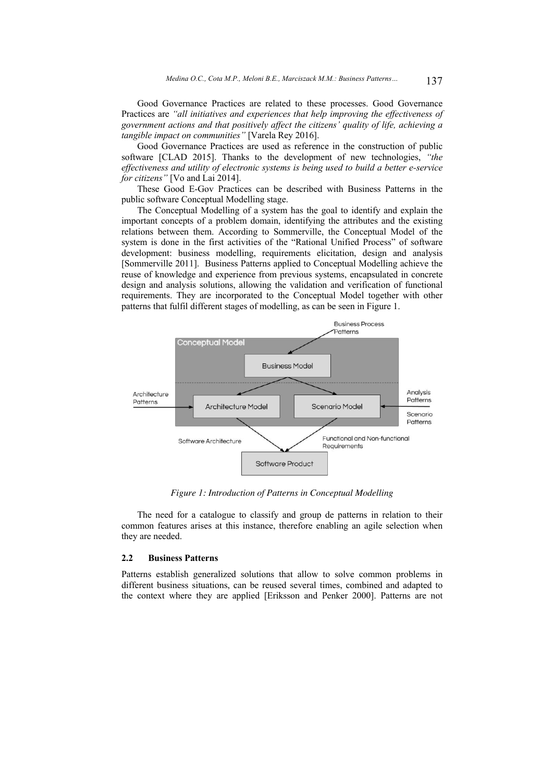Good Governance Practices are related to these processes. Good Governance Practices are *"all initiatives and experiences that help improving the effectiveness of government actions and that positively affect the citizens' quality of life, achieving a tangible impact on communities"* [Varela Rey 2016].

Good Governance Practices are used as reference in the construction of public software [CLAD 2015]. Thanks to the development of new technologies, *"the effectiveness and utility of electronic systems is being used to build a better e-service for citizens"* [Vo and Lai 2014].

These Good E-Gov Practices can be described with Business Patterns in the public software Conceptual Modelling stage.

The Conceptual Modelling of a system has the goal to identify and explain the important concepts of a problem domain, identifying the attributes and the existing relations between them. According to Sommerville, the Conceptual Model of the system is done in the first activities of the "Rational Unified Process" of software development: business modelling, requirements elicitation, design and analysis [Sommerville 2011]. Business Patterns applied to Conceptual Modelling achieve the reuse of knowledge and experience from previous systems, encapsulated in concrete design and analysis solutions, allowing the validation and verification of functional requirements. They are incorporated to the Conceptual Model together with other patterns that fulfil different stages of modelling, as can be seen in Figure 1.



*Figure 1: Introduction of Patterns in Conceptual Modelling*

The need for a catalogue to classify and group de patterns in relation to their common features arises at this instance, therefore enabling an agile selection when they are needed.

#### **2.2 Business Patterns**

Patterns establish generalized solutions that allow to solve common problems in different business situations, can be reused several times, combined and adapted to the context where they are applied [Eriksson and Penker 2000]. Patterns are not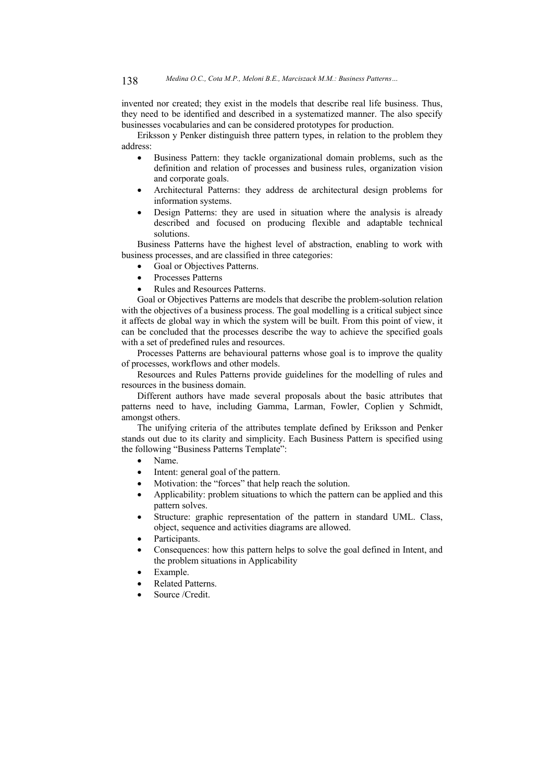invented nor created; they exist in the models that describe real life business. Thus, they need to be identified and described in a systematized manner. The also specify businesses vocabularies and can be considered prototypes for production.

Eriksson y Penker distinguish three pattern types, in relation to the problem they address:

- Business Pattern: they tackle organizational domain problems, such as the definition and relation of processes and business rules, organization vision and corporate goals.
- Architectural Patterns: they address de architectural design problems for information systems.
- Design Patterns: they are used in situation where the analysis is already described and focused on producing flexible and adaptable technical solutions.

Business Patterns have the highest level of abstraction, enabling to work with business processes, and are classified in three categories:

- Goal or Objectives Patterns.
- Processes Patterns
- Rules and Resources Patterns.

Goal or Objectives Patterns are models that describe the problem-solution relation with the objectives of a business process. The goal modelling is a critical subject since it affects de global way in which the system will be built. From this point of view, it can be concluded that the processes describe the way to achieve the specified goals with a set of predefined rules and resources.

Processes Patterns are behavioural patterns whose goal is to improve the quality of processes, workflows and other models.

Resources and Rules Patterns provide guidelines for the modelling of rules and resources in the business domain.

Different authors have made several proposals about the basic attributes that patterns need to have, including Gamma, Larman, Fowler, Coplien y Schmidt, amongst others.

The unifying criteria of the attributes template defined by Eriksson and Penker stands out due to its clarity and simplicity. Each Business Pattern is specified using the following "Business Patterns Template":

- Name.
- Intent: general goal of the pattern.
- Motivation: the "forces" that help reach the solution.
- Applicability: problem situations to which the pattern can be applied and this pattern solves.
- Structure: graphic representation of the pattern in standard UML. Class, object, sequence and activities diagrams are allowed.
- Participants.
- Consequences: how this pattern helps to solve the goal defined in Intent, and the problem situations in Applicability
- Example.
- Related Patterns.
- Source /Credit.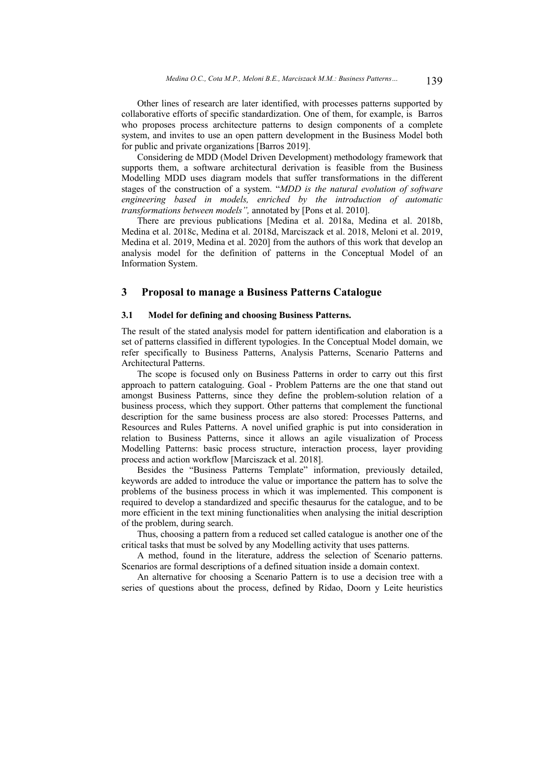Other lines of research are later identified, with processes patterns supported by collaborative efforts of specific standardization. One of them, for example, is Barros who proposes process architecture patterns to design components of a complete system, and invites to use an open pattern development in the Business Model both for public and private organizations [Barros 2019].

Considering de MDD (Model Driven Development) methodology framework that supports them, a software architectural derivation is feasible from the Business Modelling MDD uses diagram models that suffer transformations in the different stages of the construction of a system. "*MDD is the natural evolution of software engineering based in models, enriched by the introduction of automatic transformations between models",* annotated by [Pons et al. 2010].

There are previous publications [Medina et al. 2018a, Medina et al. 2018b, Medina et al. 2018c, Medina et al. 2018d, Marciszack et al. 2018, Meloni et al. 2019, Medina et al. 2019, Medina et al. 2020] from the authors of this work that develop an analysis model for the definition of patterns in the Conceptual Model of an Information System.

### **3 Proposal to manage a Business Patterns Catalogue**

#### **3.1 Model for defining and choosing Business Patterns.**

The result of the stated analysis model for pattern identification and elaboration is a set of patterns classified in different typologies. In the Conceptual Model domain, we refer specifically to Business Patterns, Analysis Patterns, Scenario Patterns and Architectural Patterns.

The scope is focused only on Business Patterns in order to carry out this first approach to pattern cataloguing. Goal - Problem Patterns are the one that stand out amongst Business Patterns, since they define the problem-solution relation of a business process, which they support. Other patterns that complement the functional description for the same business process are also stored: Processes Patterns, and Resources and Rules Patterns. A novel unified graphic is put into consideration in relation to Business Patterns, since it allows an agile visualization of Process Modelling Patterns: basic process structure, interaction process, layer providing process and action workflow [Marciszack et al. 2018].

Besides the "Business Patterns Template" information, previously detailed, keywords are added to introduce the value or importance the pattern has to solve the problems of the business process in which it was implemented. This component is required to develop a standardized and specific thesaurus for the catalogue, and to be more efficient in the text mining functionalities when analysing the initial description of the problem, during search.

Thus, choosing a pattern from a reduced set called catalogue is another one of the critical tasks that must be solved by any Modelling activity that uses patterns.

A method, found in the literature, address the selection of Scenario patterns. Scenarios are formal descriptions of a defined situation inside a domain context.

An alternative for choosing a Scenario Pattern is to use a decision tree with a series of questions about the process, defined by Ridao, Doorn y Leite heuristics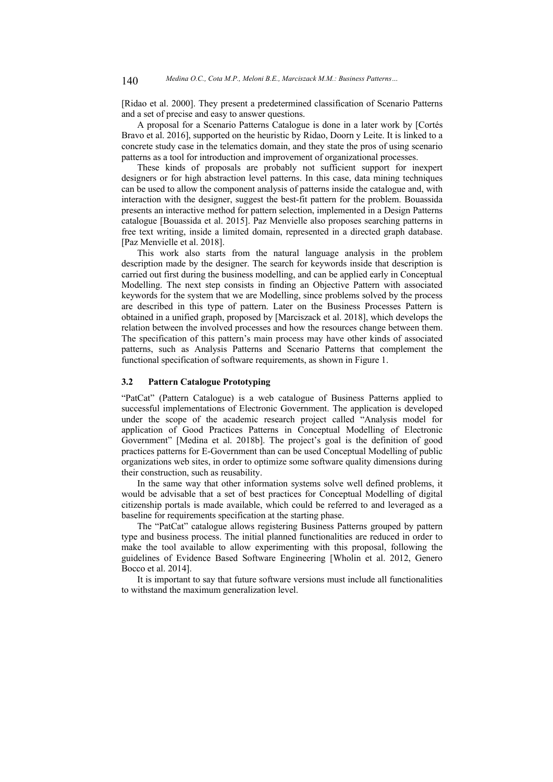[Ridao et al. 2000]. They present a predetermined classification of Scenario Patterns and a set of precise and easy to answer questions.

A proposal for a Scenario Patterns Catalogue is done in a later work by [Cortés Bravo et al. 2016], supported on the heuristic by Ridao, Doorn y Leite. It is linked to a concrete study case in the telematics domain, and they state the pros of using scenario patterns as a tool for introduction and improvement of organizational processes.

These kinds of proposals are probably not sufficient support for inexpert designers or for high abstraction level patterns. In this case, data mining techniques can be used to allow the component analysis of patterns inside the catalogue and, with interaction with the designer, suggest the best-fit pattern for the problem. Bouassida presents an interactive method for pattern selection, implemented in a Design Patterns catalogue [Bouassida et al. 2015]. Paz Menvielle also proposes searching patterns in free text writing, inside a limited domain, represented in a directed graph database. [Paz Menvielle et al. 2018].

This work also starts from the natural language analysis in the problem description made by the designer. The search for keywords inside that description is carried out first during the business modelling, and can be applied early in Conceptual Modelling. The next step consists in finding an Objective Pattern with associated keywords for the system that we are Modelling, since problems solved by the process are described in this type of pattern. Later on the Business Processes Pattern is obtained in a unified graph, proposed by [Marciszack et al. 2018], which develops the relation between the involved processes and how the resources change between them. The specification of this pattern's main process may have other kinds of associated patterns, such as Analysis Patterns and Scenario Patterns that complement the functional specification of software requirements, as shown in Figure 1.

#### **3.2 Pattern Catalogue Prototyping**

"PatCat" (Pattern Catalogue) is a web catalogue of Business Patterns applied to successful implementations of Electronic Government. The application is developed under the scope of the academic research project called "Analysis model for application of Good Practices Patterns in Conceptual Modelling of Electronic Government" [Medina et al. 2018b]. The project's goal is the definition of good practices patterns for E-Government than can be used Conceptual Modelling of public organizations web sites, in order to optimize some software quality dimensions during their construction, such as reusability.

In the same way that other information systems solve well defined problems, it would be advisable that a set of best practices for Conceptual Modelling of digital citizenship portals is made available, which could be referred to and leveraged as a baseline for requirements specification at the starting phase.

The "PatCat" catalogue allows registering Business Patterns grouped by pattern type and business process. The initial planned functionalities are reduced in order to make the tool available to allow experimenting with this proposal, following the guidelines of Evidence Based Software Engineering [Wholin et al. 2012, Genero Bocco et al. 2014].

It is important to say that future software versions must include all functionalities to withstand the maximum generalization level.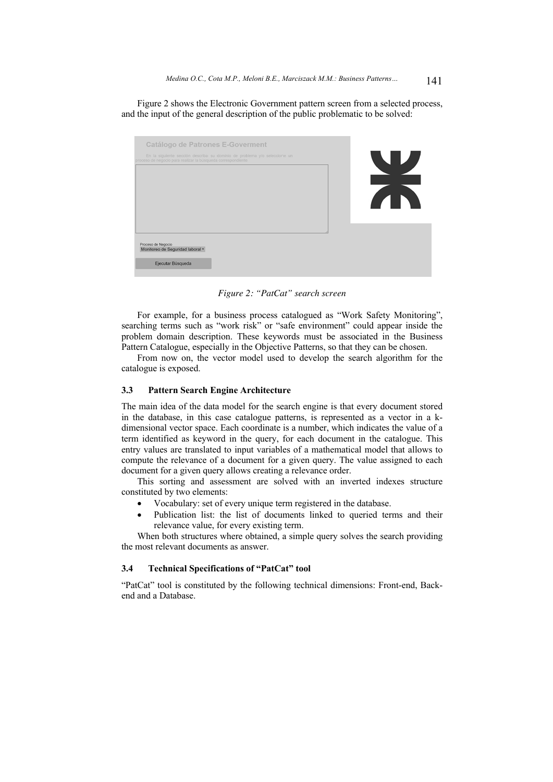Figure 2 shows the Electronic Government pattern screen from a selected process, and the input of the general description of the public problematic to be solved:

| Catálogo de Patrones E-Goverment                                                                                                          |                |
|-------------------------------------------------------------------------------------------------------------------------------------------|----------------|
| En la siguiente sección describa su dominio de problema y/o seleccione un<br>proceso de negocio para realizar la búsqueda correspondiente | T Z            |
|                                                                                                                                           |                |
|                                                                                                                                           |                |
|                                                                                                                                           | $\blacksquare$ |
|                                                                                                                                           |                |
|                                                                                                                                           |                |
| Proceso de Negocio<br>Monitoreo de Seguridad laboral v                                                                                    |                |
| Ejecutar Búsqueda                                                                                                                         |                |

*Figure 2: "PatCat" search screen*

For example, for a business process catalogued as "Work Safety Monitoring", searching terms such as "work risk" or "safe environment" could appear inside the problem domain description. These keywords must be associated in the Business Pattern Catalogue, especially in the Objective Patterns, so that they can be chosen.

From now on, the vector model used to develop the search algorithm for the catalogue is exposed.

#### **3.3 Pattern Search Engine Architecture**

The main idea of the data model for the search engine is that every document stored in the database, in this case catalogue patterns, is represented as a vector in a kdimensional vector space. Each coordinate is a number, which indicates the value of a term identified as keyword in the query, for each document in the catalogue. This entry values are translated to input variables of a mathematical model that allows to compute the relevance of a document for a given query. The value assigned to each document for a given query allows creating a relevance order.

This sorting and assessment are solved with an inverted indexes structure constituted by two elements:

- Vocabulary: set of every unique term registered in the database.
- Publication list: the list of documents linked to queried terms and their relevance value, for every existing term.

When both structures where obtained, a simple query solves the search providing the most relevant documents as answer.

### **3.4 Technical Specifications of "PatCat" tool**

"PatCat" tool is constituted by the following technical dimensions: Front-end, Backend and a Database.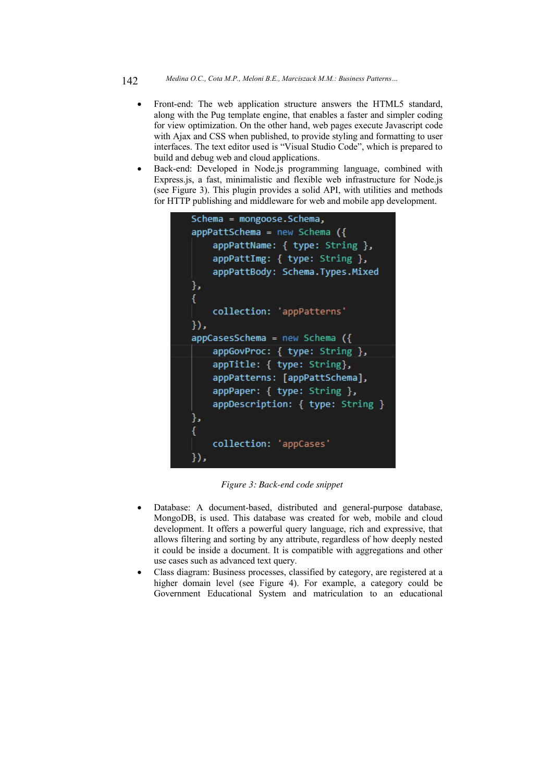- Front-end: The web application structure answers the HTML5 standard, along with the Pug template engine, that enables a faster and simpler coding for view optimization. On the other hand, web pages execute Javascript code with Ajax and CSS when published, to provide styling and formatting to user interfaces. The text editor used is "Visual Studio Code", which is prepared to build and debug web and cloud applications.
- Back-end: Developed in Node.js programming language, combined with Express.js, a fast, minimalistic and flexible web infrastructure for Node.js (see Figure 3). This plugin provides a solid API, with utilities and methods for HTTP publishing and middleware for web and mobile app development.

```
Schema = mongoose.Schema,
appPattschema = new Schema ({}appPattName: { type: String },
    appPattImg: { type: String },
    appPattBody: Schema.Types.Mixed
},
€
   collection: 'appPatterns'
\}appCaseSchema = new Scheme (appGovProc: { type: String },
    appTitle: { type: String},
    appPatterns: [appPattSchema],
    appPaper: { type: String },
    appDescription: { type: String }
},
    collection: 'appCases'
\}),
```
*Figure 3: Back-end code snippet*

- Database: A document-based, distributed and general-purpose database, MongoDB, is used. This database was created for web, mobile and cloud development. It offers a powerful query language, rich and expressive, that allows filtering and sorting by any attribute, regardless of how deeply nested it could be inside a document. It is compatible with aggregations and other use cases such as advanced text query.
- Class diagram: Business processes, classified by category, are registered at a higher domain level (see Figure 4). For example, a category could be Government Educational System and matriculation to an educational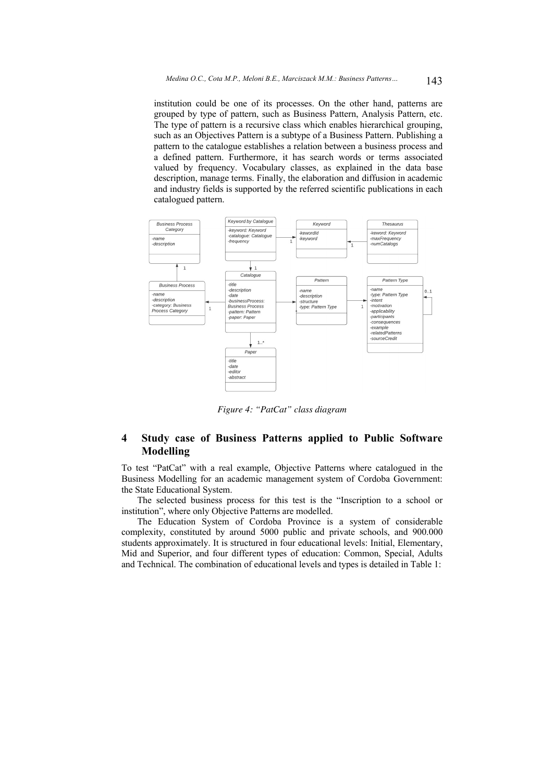institution could be one of its processes. On the other hand, patterns are grouped by type of pattern, such as Business Pattern, Analysis Pattern, etc. The type of pattern is a recursive class which enables hierarchical grouping, such as an Objectives Pattern is a subtype of a Business Pattern. Publishing a pattern to the catalogue establishes a relation between a business process and a defined pattern. Furthermore, it has search words or terms associated valued by frequency. Vocabulary classes, as explained in the data base description, manage terms. Finally, the elaboration and diffusion in academic and industry fields is supported by the referred scientific publications in each catalogued pattern.



*Figure 4: "PatCat" class diagram*

## **4 Study case of Business Patterns applied to Public Software Modelling**

To test "PatCat" with a real example, Objective Patterns where catalogued in the Business Modelling for an academic management system of Cordoba Government: the State Educational System.

The selected business process for this test is the "Inscription to a school or institution", where only Objective Patterns are modelled.

The Education System of Cordoba Province is a system of considerable complexity, constituted by around 5000 public and private schools, and 900.000 students approximately. It is structured in four educational levels: Initial, Elementary, Mid and Superior, and four different types of education: Common, Special, Adults and Technical. The combination of educational levels and types is detailed in Table 1: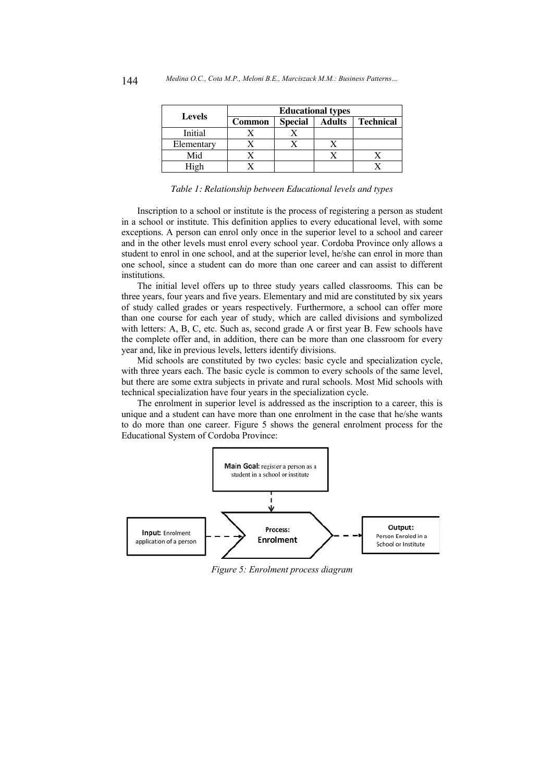| <b>Levels</b> | <b>Educational types</b> |                |               |                  |
|---------------|--------------------------|----------------|---------------|------------------|
|               | Common                   | <b>Special</b> | <b>Adults</b> | <b>Technical</b> |
| Initial       |                          |                |               |                  |
| Elementary    |                          |                |               |                  |
| Mid           |                          |                |               |                  |
| High          |                          |                |               |                  |

*Table 1: Relationship between Educational levels and types*

Inscription to a school or institute is the process of registering a person as student in a school or institute. This definition applies to every educational level, with some exceptions. A person can enrol only once in the superior level to a school and career and in the other levels must enrol every school year. Cordoba Province only allows a student to enrol in one school, and at the superior level, he/she can enrol in more than one school, since a student can do more than one career and can assist to different institutions.

The initial level offers up to three study years called classrooms. This can be three years, four years and five years. Elementary and mid are constituted by six years of study called grades or years respectively. Furthermore, a school can offer more than one course for each year of study, which are called divisions and symbolized with letters: A, B, C, etc. Such as, second grade A or first year B. Few schools have the complete offer and, in addition, there can be more than one classroom for every year and, like in previous levels, letters identify divisions.

Mid schools are constituted by two cycles: basic cycle and specialization cycle, with three years each. The basic cycle is common to every schools of the same level, but there are some extra subjects in private and rural schools. Most Mid schools with technical specialization have four years in the specialization cycle.

The enrolment in superior level is addressed as the inscription to a career, this is unique and a student can have more than one enrolment in the case that he/she wants to do more than one career. Figure 5 shows the general enrolment process for the Educational System of Cordoba Province:



*Figure 5: Enrolment process diagram*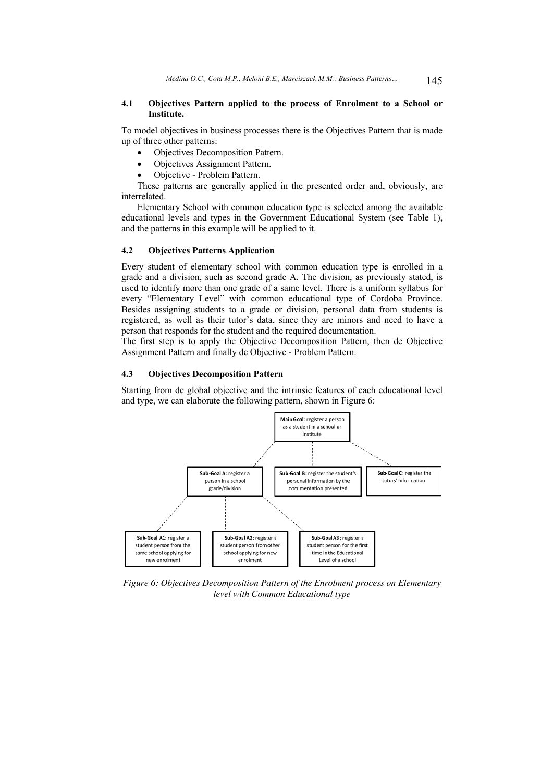#### **4.1 Objectives Pattern applied to the process of Enrolment to a School or Institute.**

To model objectives in business processes there is the Objectives Pattern that is made up of three other patterns:

- Objectives Decomposition Pattern.
- Objectives Assignment Pattern.
- Objective Problem Pattern.

These patterns are generally applied in the presented order and, obviously, are interrelated.

Elementary School with common education type is selected among the available educational levels and types in the Government Educational System (see Table 1), and the patterns in this example will be applied to it.

## **4.2 Objectives Patterns Application**

Every student of elementary school with common education type is enrolled in a grade and a division, such as second grade A. The division, as previously stated, is used to identify more than one grade of a same level. There is a uniform syllabus for every "Elementary Level" with common educational type of Cordoba Province. Besides assigning students to a grade or division, personal data from students is registered, as well as their tutor's data, since they are minors and need to have a person that responds for the student and the required documentation.

The first step is to apply the Objective Decomposition Pattern, then de Objective Assignment Pattern and finally de Objective - Problem Pattern.

### **4.3 Objectives Decomposition Pattern**

Starting from de global objective and the intrinsic features of each educational level and type, we can elaborate the following pattern, shown in Figure 6:



*Figure 6: Objectives Decomposition Pattern of the Enrolment process on Elementary level with Common Educational type*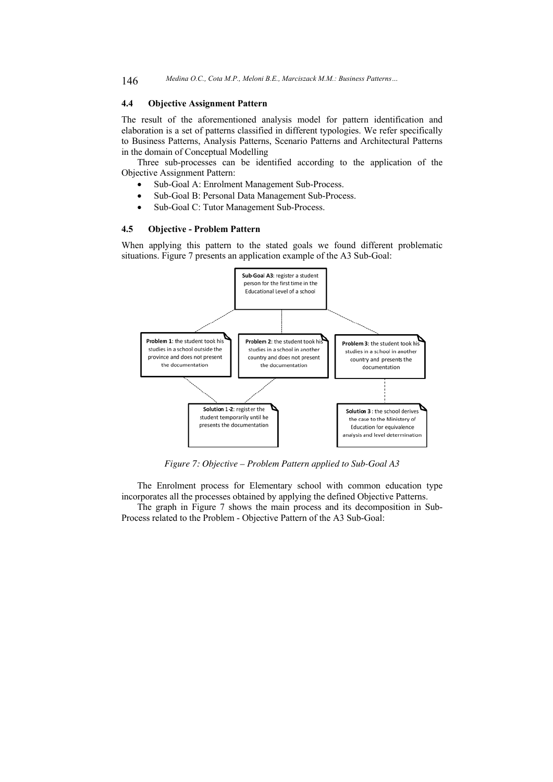#### **4.4 Objective Assignment Pattern**

The result of the aforementioned analysis model for pattern identification and elaboration is a set of patterns classified in different typologies. We refer specifically to Business Patterns, Analysis Patterns, Scenario Patterns and Architectural Patterns in the domain of Conceptual Modelling

Three sub-processes can be identified according to the application of the Objective Assignment Pattern:

- Sub-Goal A: Enrolment Management Sub-Process.
- Sub-Goal B: Personal Data Management Sub-Process.
- Sub-Goal C: Tutor Management Sub-Process.

#### **4.5 Objective - Problem Pattern**

When applying this pattern to the stated goals we found different problematic situations. Figure 7 presents an application example of the A3 Sub-Goal:



*Figure 7: Objective – Problem Pattern applied to Sub-Goal A3*

The Enrolment process for Elementary school with common education type incorporates all the processes obtained by applying the defined Objective Patterns.

The graph in Figure 7 shows the main process and its decomposition in Sub-Process related to the Problem - Objective Pattern of the A3 Sub-Goal: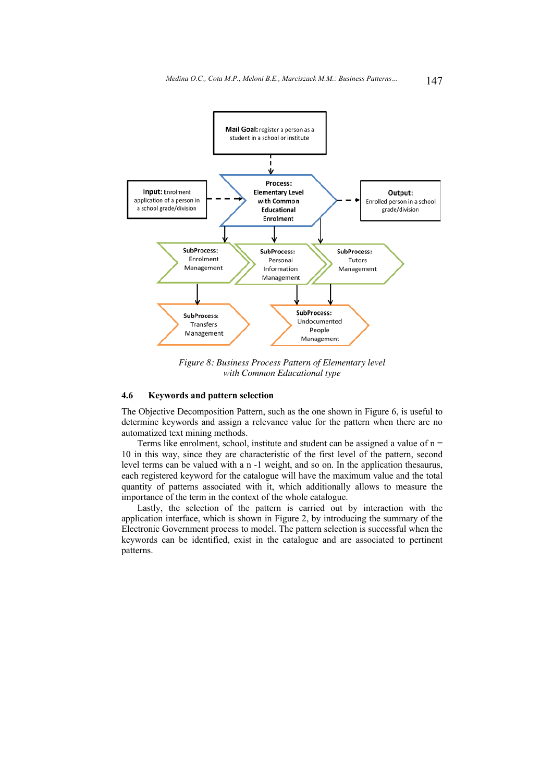

*Figure 8: Business Process Pattern of Elementary level with Common Educational type*

### **4.6 Keywords and pattern selection**

The Objective Decomposition Pattern, such as the one shown in Figure 6, is useful to determine keywords and assign a relevance value for the pattern when there are no automatized text mining methods.

Terms like enrolment, school, institute and student can be assigned a value of  $n =$ 10 in this way, since they are characteristic of the first level of the pattern, second level terms can be valued with a n -1 weight, and so on. In the application thesaurus, each registered keyword for the catalogue will have the maximum value and the total quantity of patterns associated with it, which additionally allows to measure the importance of the term in the context of the whole catalogue.

Lastly, the selection of the pattern is carried out by interaction with the application interface, which is shown in Figure 2, by introducing the summary of the Electronic Government process to model. The pattern selection is successful when the keywords can be identified, exist in the catalogue and are associated to pertinent patterns.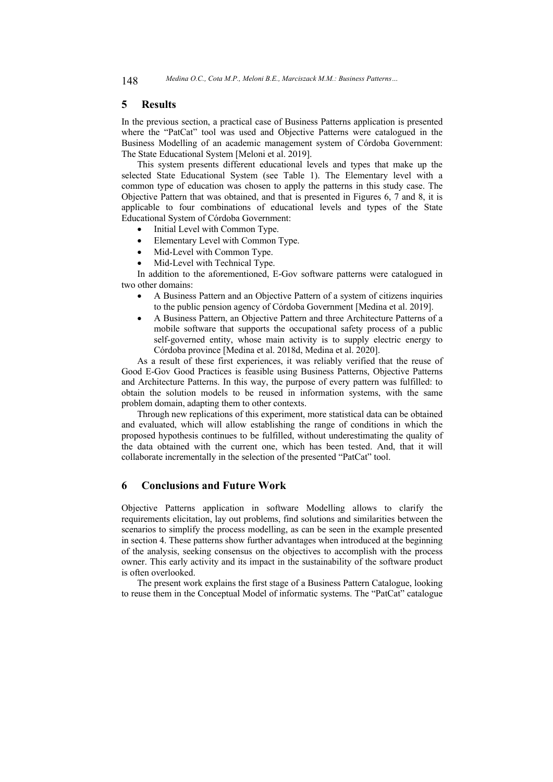### **5 Results**

In the previous section, a practical case of Business Patterns application is presented where the "PatCat" tool was used and Objective Patterns were catalogued in the Business Modelling of an academic management system of Córdoba Government: The State Educational System [Meloni et al. 2019].

This system presents different educational levels and types that make up the selected State Educational System (see Table 1). The Elementary level with a common type of education was chosen to apply the patterns in this study case. The Objective Pattern that was obtained, and that is presented in Figures 6, 7 and 8, it is applicable to four combinations of educational levels and types of the State Educational System of Córdoba Government:

- Initial Level with Common Type.
- Elementary Level with Common Type.
- Mid-Level with Common Type.
- Mid-Level with Technical Type.

In addition to the aforementioned, E-Gov software patterns were catalogued in two other domains:

- A Business Pattern and an Objective Pattern of a system of citizens inquiries to the public pension agency of Córdoba Government [Medina et al. 2019].
- A Business Pattern, an Objective Pattern and three Architecture Patterns of a mobile software that supports the occupational safety process of a public self-governed entity, whose main activity is to supply electric energy to Córdoba province [Medina et al. 2018d, Medina et al. 2020].

As a result of these first experiences, it was reliably verified that the reuse of Good E-Gov Good Practices is feasible using Business Patterns, Objective Patterns and Architecture Patterns. In this way, the purpose of every pattern was fulfilled: to obtain the solution models to be reused in information systems, with the same problem domain, adapting them to other contexts.

Through new replications of this experiment, more statistical data can be obtained and evaluated, which will allow establishing the range of conditions in which the proposed hypothesis continues to be fulfilled, without underestimating the quality of the data obtained with the current one, which has been tested. And, that it will collaborate incrementally in the selection of the presented "PatCat" tool.

## **6 Conclusions and Future Work**

Objective Patterns application in software Modelling allows to clarify the requirements elicitation, lay out problems, find solutions and similarities between the scenarios to simplify the process modelling, as can be seen in the example presented in section 4. These patterns show further advantages when introduced at the beginning of the analysis, seeking consensus on the objectives to accomplish with the process owner. This early activity and its impact in the sustainability of the software product is often overlooked.

The present work explains the first stage of a Business Pattern Catalogue, looking to reuse them in the Conceptual Model of informatic systems. The "PatCat" catalogue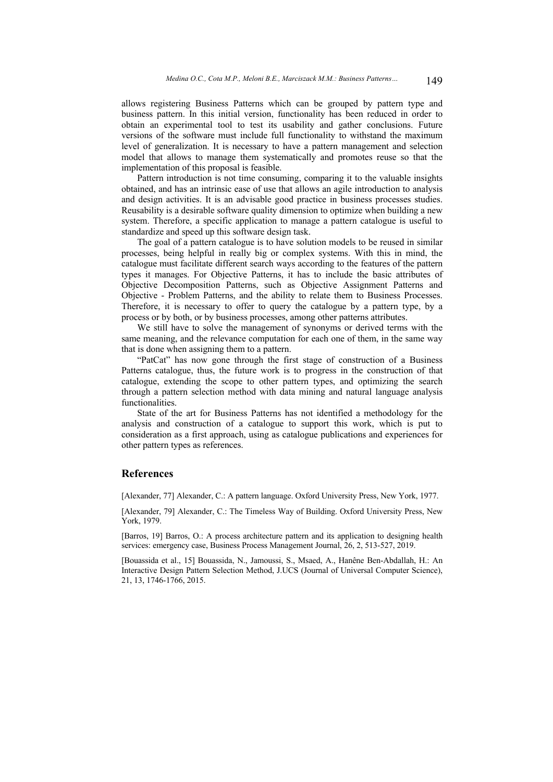allows registering Business Patterns which can be grouped by pattern type and business pattern. In this initial version, functionality has been reduced in order to obtain an experimental tool to test its usability and gather conclusions. Future versions of the software must include full functionality to withstand the maximum level of generalization. It is necessary to have a pattern management and selection model that allows to manage them systematically and promotes reuse so that the implementation of this proposal is feasible.

Pattern introduction is not time consuming, comparing it to the valuable insights obtained, and has an intrinsic ease of use that allows an agile introduction to analysis and design activities. It is an advisable good practice in business processes studies. Reusability is a desirable software quality dimension to optimize when building a new system. Therefore, a specific application to manage a pattern catalogue is useful to standardize and speed up this software design task.

The goal of a pattern catalogue is to have solution models to be reused in similar processes, being helpful in really big or complex systems. With this in mind, the catalogue must facilitate different search ways according to the features of the pattern types it manages. For Objective Patterns, it has to include the basic attributes of Objective Decomposition Patterns, such as Objective Assignment Patterns and Objective - Problem Patterns, and the ability to relate them to Business Processes. Therefore, it is necessary to offer to query the catalogue by a pattern type, by a process or by both, or by business processes, among other patterns attributes.

We still have to solve the management of synonyms or derived terms with the same meaning, and the relevance computation for each one of them, in the same way that is done when assigning them to a pattern.

"PatCat" has now gone through the first stage of construction of a Business Patterns catalogue, thus, the future work is to progress in the construction of that catalogue, extending the scope to other pattern types, and optimizing the search through a pattern selection method with data mining and natural language analysis functionalities.

State of the art for Business Patterns has not identified a methodology for the analysis and construction of a catalogue to support this work, which is put to consideration as a first approach, using as catalogue publications and experiences for other pattern types as references.

## **References**

[Alexander, 77] Alexander, C.: A pattern language. Oxford University Press, New York, 1977.

[Alexander, 79] Alexander, C.: The Timeless Way of Building. Oxford University Press, New York, 1979.

[Barros, 19] Barros, O.: A process architecture pattern and its application to designing health services: emergency case, Business Process Management Journal, 26, 2, 513-527, 2019.

[Bouassida et al., 15] Bouassida, N., Jamoussi, S., Msaed, A., Hanêne Ben-Abdallah, H.: An Interactive Design Pattern Selection Method, J.UCS (Journal of Universal Computer Science), 21, 13, 1746-1766, 2015.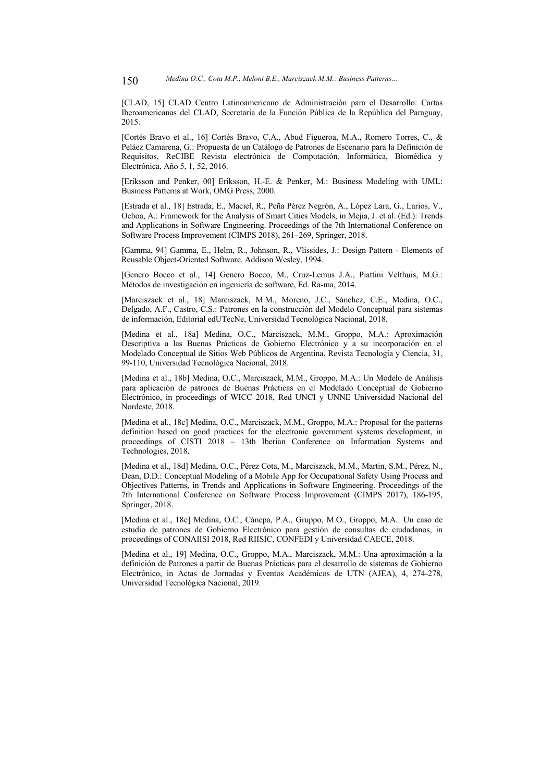[CLAD, 15] CLAD Centro Latinoamericano de Administración para el Desarrollo: Cartas Iberoamericanas del CLAD, Secretaría de la Función Pública de la República del Paraguay, 2015.

[Cortés Bravo et al., 16] Cortés Bravo, C.A., Abud Figueroa, M.A., Romero Torres, C., & Peláez Camarena, G.: Propuesta de un Catálogo de Patrones de Escenario para la Definición de Requisitos, ReCIBE Revista electrónica de Computación, Informática, Biomédica y Electrónica, Año 5, 1, 52, 2016.

[Eriksson and Penker, 00] Eriksson, H.-E. & Penker, M.: Business Modeling with UML: Business Patterns at Work, OMG Press, 2000.

[Estrada et al., 18] Estrada, E., Maciel, R., Peña Pérez Negrón, A., López Lara, G., Larios, V., Ochoa, A.: Framework for the Analysis of Smart Cities Models, in Mejia, J. et al. (Ed.): Trends and Applications in Software Engineering. Proceedings of the 7th International Conference on Software Process Improvement (CIMPS 2018), 261–269, Springer, 2018.

[Gamma, 94] Gamma, E., Helm, R., Johnson, R., Vlissides, J.: Design Pattern - Elements of Reusable Object-Oriented Software. Addison Wesley, 1994.

[Genero Bocco et al., 14] Genero Bocco, M., Cruz-Lemus J.A., Piattini Velthuis, M.G.: Métodos de investigación en ingeniería de software, Ed. Ra-ma, 2014.

[Marciszack et al., 18] Marciszack, M.M., Moreno, J.C., Sánchez, C.E., Medina, O.C., Delgado, A.F., Castro, C.S.: Patrones en la construcción del Modelo Conceptual para sistemas de información, Editorial edUTecNe, Universidad Tecnológica Nacional, 2018.

[Medina et al., 18a] Medina, O.C., Marciszack, M.M., Groppo, M.A.: Aproximación Descriptiva a las Buenas Prácticas de Gobierno Electrónico y a su incorporación en el Modelado Conceptual de Sitios Web Públicos de Argentina, Revista Tecnología y Ciencia, 31, 99-110, Universidad Tecnológica Nacional, 2018.

[Medina et al., 18b] Medina, O.C., Marciszack, M.M., Groppo, M.A.: Un Modelo de Análisis para aplicación de patrones de Buenas Prácticas en el Modelado Conceptual de Gobierno Electrónico, in proceedings of WICC 2018, Red UNCI y UNNE Universidad Nacional del Nordeste, 2018.

[Medina et al., 18c] Medina, O.C., Marciszack, M.M., Groppo, M.A.: Proposal for the patterns definition based on good practices for the electronic government systems development, in proceedings of CISTI 2018 – 13th Iberian Conference on Information Systems and Technologies, 2018.

[Medina et al., 18d] Medina, O.C., Pérez Cota, M., Marciszack, M.M., Martin, S.M., Pérez, N., Dean, D.D.: Conceptual Modeling of a Mobile App for Occupational Safety Using Process and Objectives Patterns, in Trends and Applications in Software Engineering. Proceedings of the 7th International Conference on Software Process Improvement (CIMPS 2017), 186-195, Springer, 2018.

[Medina et al., 18e] Medina, O.C., Cánepa, P.A., Gruppo, M.O., Groppo, M.A.: Un caso de estudio de patrones de Gobierno Electrónico para gestión de consultas de ciudadanos, in proceedings of CONAIISI 2018, Red RIISIC, CONFEDI y Universidad CAECE, 2018.

[Medina et al., 19] Medina, O.C., Groppo, M.A., Marciszack, M.M.: Una aproximación a la definición de Patrones a partir de Buenas Prácticas para el desarrollo de sistemas de Gobierno Electrónico, in Actas de Jornadas y Eventos Académicos de UTN (AJEA), 4, 274-278, Universidad Tecnológica Nacional, 2019.